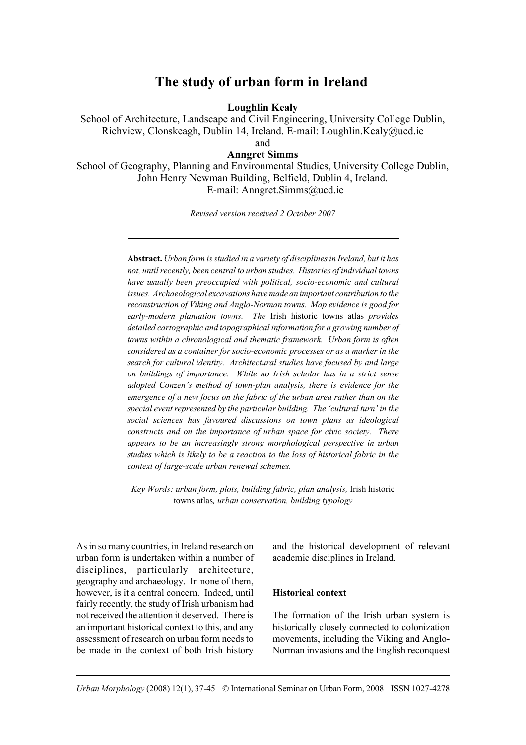# **The study of urban form in Ireland**

**Loughlin Kealy**

School of Architecture, Landscape and Civil Engineering, University College Dublin, Richview, Clonskeagh, Dublin 14, Ireland. E-mail: Loughlin.Kealy@ucd.ie and

## **Anngret Simms**

School of Geography, Planning and Environmental Studies, University College Dublin, John Henry Newman Building, Belfield, Dublin 4, Ireland. E-mail: Anngret.Simms@ucd.ie

*Revised version received 2 October 2007*

**Abstract.** *Urban form is studied in a variety of disciplines in Ireland, but it has not, until recently, been central to urban studies. Histories of individual towns have usually been preoccupied with political, socio-economic and cultural issues. Archaeological excavations have made an important contribution to the reconstruction of Viking and Anglo-Norman towns. Map evidence is good for early-modern plantation towns. The* Irish historic towns atlas *provides detailed cartographic and topographical information for a growing number of towns within a chronological and thematic framework. Urban form is often considered as a container for socio-economic processes or as a marker in the search for cultural identity. Architectural studies have focused by and large on buildings of importance. While no Irish scholar has in a strict sense adopted Conzen's method of town-plan analysis, there is evidence for the emergence of a new focus on the fabric of the urban area rather than on the special event represented by the particular building. The 'cultural turn' in the social sciences has favoured discussions on town plans as ideological constructs and on the importance of urban space for civic society. There appears to be an increasingly strong morphological perspective in urban studies which is likely to be a reaction to the loss of historical fabric in the context of large-scale urban renewal schemes.* 

*Key Words: urban form, plots, building fabric, plan analysis,* Irish historic towns atlas*, urban conservation, building typology*

As in so many countries, in Ireland research on urban form is undertaken within a number of disciplines, particularly architecture, geography and archaeology. In none of them, however, is it a central concern. Indeed, until fairly recently, the study of Irish urbanism had not received the attention it deserved. There is an important historical context to this, and any assessment of research on urban form needs to be made in the context of both Irish history

and the historical development of relevant academic disciplines in Ireland.

#### **Historical context**

The formation of the Irish urban system is historically closely connected to colonization movements, including the Viking and Anglo-Norman invasions and the English reconquest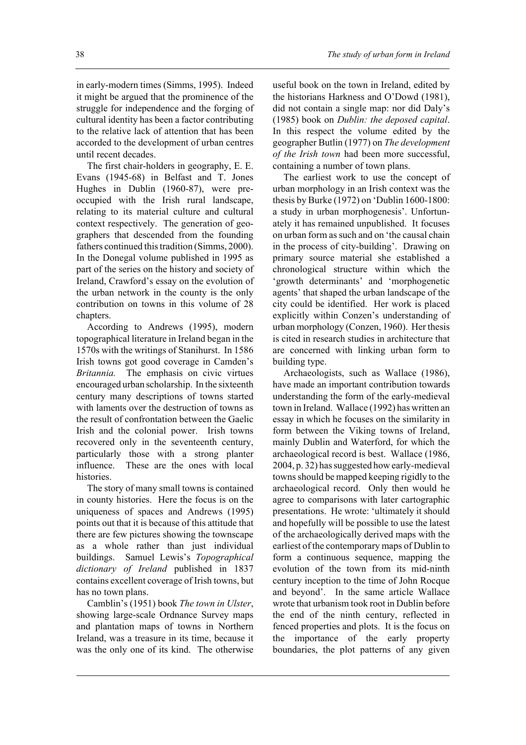in early-modern times (Simms, 1995). Indeed it might be argued that the prominence of the struggle for independence and the forging of cultural identity has been a factor contributing to the relative lack of attention that has been accorded to the development of urban centres until recent decades.

The first chair-holders in geography, E. E. Evans (1945-68) in Belfast and T. Jones Hughes in Dublin (1960-87), were preoccupied with the Irish rural landscape, relating to its material culture and cultural context respectively. The generation of geographers that descended from the founding fathers continued this tradition (Simms, 2000). In the Donegal volume published in 1995 as part of the series on the history and society of Ireland, Crawford's essay on the evolution of the urban network in the county is the only contribution on towns in this volume of 28 chapters.

According to Andrews (1995), modern topographical literature in Ireland began in the 1570s with the writings of Stanihurst. In 1586 Irish towns got good coverage in Camden's *Britannia.* The emphasis on civic virtues encouraged urban scholarship. In the sixteenth century many descriptions of towns started with laments over the destruction of towns as the result of confrontation between the Gaelic Irish and the colonial power. Irish towns recovered only in the seventeenth century, particularly those with a strong planter influence. These are the ones with local histories.

The story of many small towns is contained in county histories. Here the focus is on the uniqueness of spaces and Andrews (1995) points out that it is because of this attitude that there are few pictures showing the townscape as a whole rather than just individual buildings. Samuel Lewis's *Topographical dictionary of Ireland* published in 1837 contains excellent coverage of Irish towns, but has no town plans.

Camblin's (1951) book *The town in Ulster*, showing large-scale Ordnance Survey maps and plantation maps of towns in Northern Ireland, was a treasure in its time, because it was the only one of its kind. The otherwise useful book on the town in Ireland, edited by the historians Harkness and O'Dowd (1981), did not contain a single map: nor did Daly's (1985) book on *Dublin: the deposed capital*. In this respect the volume edited by the geographer Butlin (1977) on *The development of the Irish town* had been more successful, containing a number of town plans.

The earliest work to use the concept of urban morphology in an Irish context was the thesis by Burke (1972) on 'Dublin 1600-1800: a study in urban morphogenesis'. Unfortunately it has remained unpublished. It focuses on urban form as such and on 'the causal chain in the process of city-building'. Drawing on primary source material she established a chronological structure within which the 'growth determinants' and 'morphogenetic agents' that shaped the urban landscape of the city could be identified. Her work is placed explicitly within Conzen's understanding of urban morphology (Conzen, 1960). Her thesis is cited in research studies in architecture that are concerned with linking urban form to building type.

Archaeologists, such as Wallace (1986), have made an important contribution towards understanding the form of the early-medieval town in Ireland. Wallace (1992) has written an essay in which he focuses on the similarity in form between the Viking towns of Ireland, mainly Dublin and Waterford, for which the archaeological record is best. Wallace (1986, 2004, p. 32) has suggested how early-medieval towns should be mapped keeping rigidly to the archaeological record. Only then would he agree to comparisons with later cartographic presentations. He wrote: 'ultimately it should and hopefully will be possible to use the latest of the archaeologically derived maps with the earliest of the contemporary maps of Dublin to form a continuous sequence, mapping the evolution of the town from its mid-ninth century inception to the time of John Rocque and beyond'. In the same article Wallace wrote that urbanism took root in Dublin before the end of the ninth century, reflected in fenced properties and plots. It is the focus on the importance of the early property boundaries, the plot patterns of any given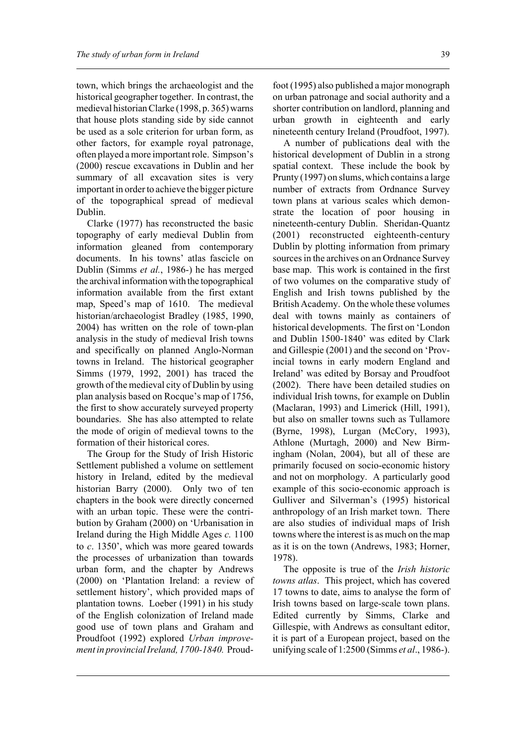town, which brings the archaeologist and the historical geographer together. In contrast, the medieval historian Clarke (1998, p. 365) warns that house plots standing side by side cannot be used as a sole criterion for urban form, as other factors, for example royal patronage, often played a more important role. Simpson's (2000) rescue excavations in Dublin and her summary of all excavation sites is very important in order to achieve the bigger picture of the topographical spread of medieval Dublin.

Clarke (1977) has reconstructed the basic topography of early medieval Dublin from information gleaned from contemporary documents. In his towns' atlas fascicle on Dublin (Simms *et al.*, 1986-) he has merged the archival information with the topographical information available from the first extant map, Speed's map of 1610. The medieval historian/archaeologist Bradley (1985, 1990, 2004) has written on the role of town-plan analysis in the study of medieval Irish towns and specifically on planned Anglo-Norman towns in Ireland. The historical geographer Simms (1979, 1992, 2001) has traced the growth of the medieval city of Dublin by using plan analysis based on Rocque's map of 1756, the first to show accurately surveyed property boundaries. She has also attempted to relate the mode of origin of medieval towns to the formation of their historical cores.

The Group for the Study of Irish Historic Settlement published a volume on settlement history in Ireland, edited by the medieval historian Barry (2000). Only two of ten chapters in the book were directly concerned with an urban topic. These were the contribution by Graham (2000) on 'Urbanisation in Ireland during the High Middle Ages *c.* 1100 to *c*. 1350', which was more geared towards the processes of urbanization than towards urban form, and the chapter by Andrews (2000) on 'Plantation Ireland: a review of settlement history', which provided maps of plantation towns. Loeber (1991) in his study of the English colonization of Ireland made good use of town plans and Graham and Proudfoot (1992) explored *Urban improvement in provincial Ireland, 1700-1840.* Proudfoot (1995) also published a major monograph on urban patronage and social authority and a shorter contribution on landlord, planning and urban growth in eighteenth and early nineteenth century Ireland (Proudfoot, 1997).

A number of publications deal with the historical development of Dublin in a strong spatial context. These include the book by Prunty (1997) on slums, which contains a large number of extracts from Ordnance Survey town plans at various scales which demonstrate the location of poor housing in nineteenth-century Dublin. Sheridan-Quantz (2001) reconstructed eighteenth-century Dublin by plotting information from primary sources in the archives on an Ordnance Survey base map. This work is contained in the first of two volumes on the comparative study of English and Irish towns published by the British Academy. On the whole these volumes deal with towns mainly as containers of historical developments. The first on 'London and Dublin 1500-1840' was edited by Clark and Gillespie (2001) and the second on 'Provincial towns in early modern England and Ireland' was edited by Borsay and Proudfoot (2002). There have been detailed studies on individual Irish towns, for example on Dublin (Maclaran, 1993) and Limerick (Hill, 1991), but also on smaller towns such as Tullamore (Byrne, 1998), Lurgan (McCory, 1993), Athlone (Murtagh, 2000) and New Birmingham (Nolan, 2004), but all of these are primarily focused on socio-economic history and not on morphology. A particularly good example of this socio-economic approach is Gulliver and Silverman's (1995) historical anthropology of an Irish market town. There are also studies of individual maps of Irish towns where the interest is as much on the map as it is on the town (Andrews, 1983; Horner, 1978).

The opposite is true of the *Irish historic towns atlas*. This project, which has covered 17 towns to date, aims to analyse the form of Irish towns based on large-scale town plans. Edited currently by Simms, Clarke and Gillespie, with Andrews as consultant editor, it is part of a European project, based on the unifying scale of 1:2500 (Simms *et al*., 1986-).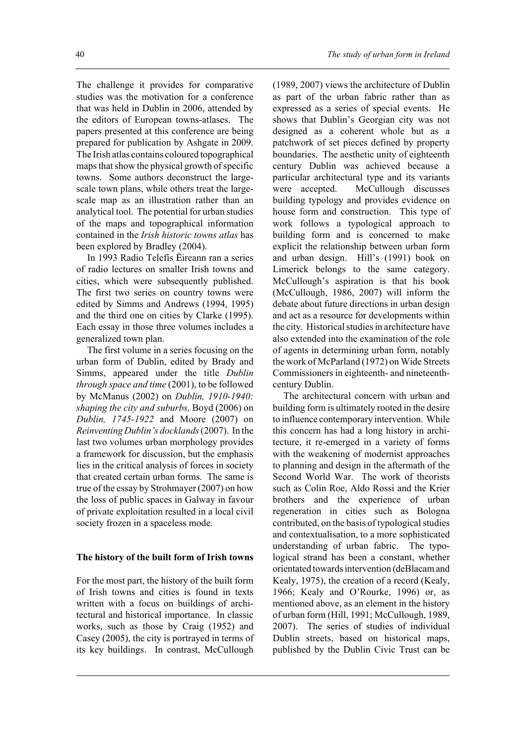The challenge it provides for comparative studies was the motivation for a conference that was held in Dublin in 2006, attended by the editors of European towns-atlases. The papers presented at this conference are being prepared for publication by Ashgate in 2009. The Irish atlas contains coloured topographical maps that show the physical growth of specific towns. Some authors deconstruct the largescale town plans, while others treat the largescale map as an illustration rather than an analytical tool. The potential for urban studies of the maps and topographical information contained in the *Irish historic towns atlas* has been explored by Bradley (2004).

In 1993 Radio Telefís Éireann ran a series of radio lectures on smaller Irish towns and cities, which were subsequently published. The first two series on country towns were edited by Simms and Andrews (1994, 1995) and the third one on cities by Clarke (1995). Each essay in those three volumes includes a generalized town plan.

The first volume in a series focusing on the urban form of Dublin, edited by Brady and Simms, appeared under the title *Dublin through space and time* (2001), to be followed by McManus (2002) on *Dublin, 1910-1940: shaping the city and suburbs,* Boyd (2006) on *Dublin, 1745-1922* and Moore (2007) on *Reinventing Dublin's docklands* (2007).In the last two volumes urban morphology provides a framework for discussion, but the emphasis lies in the critical analysis of forces in society that created certain urban forms. The same is true of the essay by Strohmayer (2007) on how the loss of public spaces in Galway in favour of private exploitation resulted in a local civil society frozen in a spaceless mode.

#### **The history of the built form of Irish towns**

For the most part, the history of the built form of Irish towns and cities is found in texts written with a focus on buildings of architectural and historical importance. In classic works, such as those by Craig (1952) and Casey (2005), the city is portrayed in terms of its key buildings. In contrast, McCullough

(1989, 2007) views the architecture of Dublin as part of the urban fabric rather than as expressed as a series of special events. He shows that Dublin's Georgian city was not designed as a coherent whole but as a patchwork of set pieces defined by property boundaries. The aesthetic unity of eighteenth century Dublin was achieved because a particular architectural type and its variants were accepted. McCullough discusses building typology and provides evidence on house form and construction. This type of work follows a typological approach to building form and is concerned to make explicit the relationship between urban form and urban design. Hill's (1991) book on Limerick belongs to the same category. McCullough's aspiration is that his book (McCullough, 1986, 2007) will inform the debate about future directions in urban design and act as a resource for developments within the city. Historical studies in architecture have also extended into the examination of the role of agents in determining urban form, notably the work of McParland (1972) on Wide Streets Commissioners in eighteenth- and nineteenthcentury Dublin.

The architectural concern with urban and building form is ultimately rooted in the desire to influence contemporary intervention. While this concern has had a long history in architecture, it re-emerged in a variety of forms with the weakening of modernist approaches to planning and design in the aftermath of the Second World War. The work of theorists such as Colin Roe, Aldo Rossi and the Krier brothers and the experience of urban regeneration in cities such as Bologna contributed, on the basis of typological studies and contextualisation, to a more sophisticated understanding of urban fabric. The typological strand has been a constant, whether orientated towards intervention (deBlacam and Kealy, 1975), the creation of a record (Kealy, 1966; Kealy and O'Rourke, 1996) or, as mentioned above, as an element in the history of urban form (Hill, 1991; McCullough, 1989, 2007). The series of studies of individual Dublin streets, based on historical maps, published by the Dublin Civic Trust can be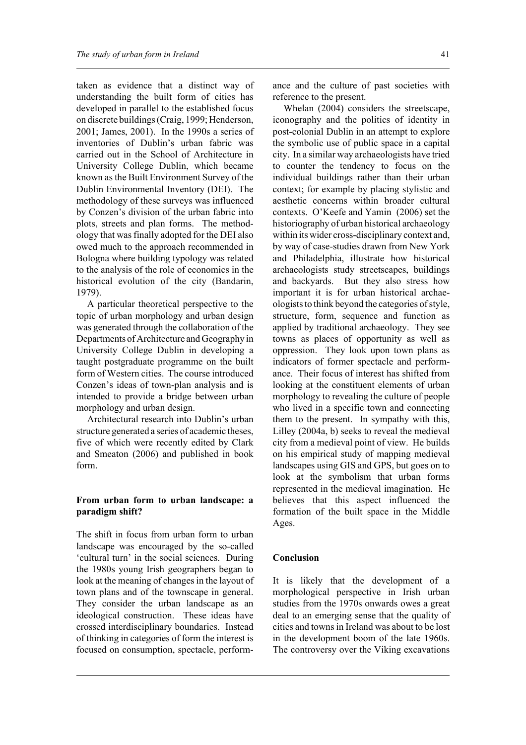taken as evidence that a distinct way of understanding the built form of cities has developed in parallel to the established focus on discrete buildings (Craig, 1999; Henderson, 2001; James, 2001). In the 1990s a series of inventories of Dublin's urban fabric was carried out in the School of Architecture in University College Dublin, which became known as the Built Environment Survey of the Dublin Environmental Inventory (DEI). The methodology of these surveys was influenced by Conzen's division of the urban fabric into plots, streets and plan forms. The methodology that was finally adopted for the DEI also owed much to the approach recommended in Bologna where building typology was related to the analysis of the role of economics in the historical evolution of the city (Bandarin, 1979).

A particular theoretical perspective to the topic of urban morphology and urban design was generated through the collaboration of the Departments of Architecture and Geography in University College Dublin in developing a taught postgraduate programme on the built form of Western cities. The course introduced Conzen's ideas of town-plan analysis and is intended to provide a bridge between urban morphology and urban design.

Architectural research into Dublin's urban structure generated a series of academic theses, five of which were recently edited by Clark and Smeaton (2006) and published in book form.

## **From urban form to urban landscape: a paradigm shift?**

The shift in focus from urban form to urban landscape was encouraged by the so-called 'cultural turn' in the social sciences. During the 1980s young Irish geographers began to look at the meaning of changes in the layout of town plans and of the townscape in general. They consider the urban landscape as an ideological construction. These ideas have crossed interdisciplinary boundaries. Instead of thinking in categories of form the interest is focused on consumption, spectacle, performance and the culture of past societies with reference to the present.

Whelan (2004) considers the streetscape, iconography and the politics of identity in post-colonial Dublin in an attempt to explore the symbolic use of public space in a capital city. In a similar way archaeologists have tried to counter the tendency to focus on the individual buildings rather than their urban context; for example by placing stylistic and aesthetic concerns within broader cultural contexts. O'Keefe and Yamin (2006) set the historiography of urban historical archaeology within its wider cross-disciplinary context and, by way of case-studies drawn from New York and Philadelphia, illustrate how historical archaeologists study streetscapes, buildings and backyards. But they also stress how important it is for urban historical archaeologists to think beyond the categories of style, structure, form, sequence and function as applied by traditional archaeology. They see towns as places of opportunity as well as oppression. They look upon town plans as indicators of former spectacle and performance. Their focus of interest has shifted from looking at the constituent elements of urban morphology to revealing the culture of people who lived in a specific town and connecting them to the present. In sympathy with this, Lilley (2004a, b) seeks to reveal the medieval city from a medieval point of view. He builds on his empirical study of mapping medieval landscapes using GIS and GPS, but goes on to look at the symbolism that urban forms represented in the medieval imagination. He believes that this aspect influenced the formation of the built space in the Middle Ages.

#### **Conclusion**

It is likely that the development of a morphological perspective in Irish urban studies from the 1970s onwards owes a great deal to an emerging sense that the quality of cities and towns in Ireland was about to be lost in the development boom of the late 1960s. The controversy over the Viking excavations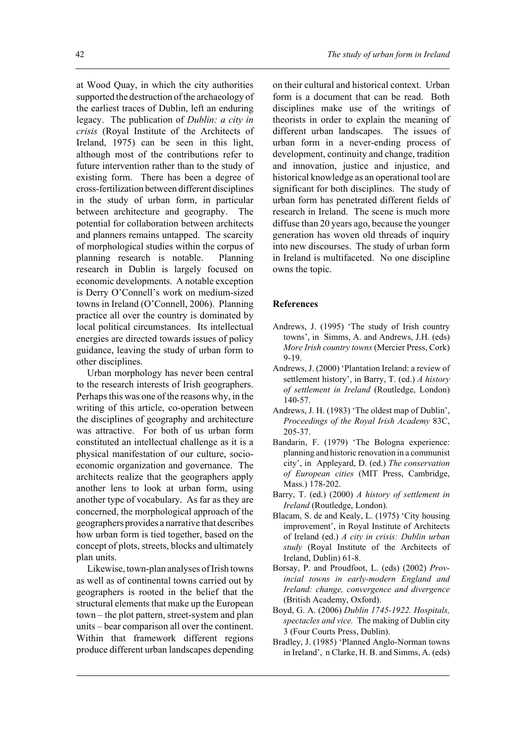at Wood Quay, in which the city authorities supported the destruction of the archaeology of the earliest traces of Dublin, left an enduring legacy. The publication of *Dublin: a city in crisis* (Royal Institute of the Architects of Ireland, 1975) can be seen in this light, although most of the contributions refer to future intervention rather than to the study of existing form. There has been a degree of cross-fertilization between different disciplines in the study of urban form, in particular between architecture and geography. The potential for collaboration between architects and planners remains untapped. The scarcity of morphological studies within the corpus of planning research is notable. Planning research in Dublin is largely focused on economic developments. A notable exception is Derry O'Connell's work on medium-sized towns in Ireland (O'Connell, 2006). Planning practice all over the country is dominated by local political circumstances. Its intellectual energies are directed towards issues of policy guidance, leaving the study of urban form to other disciplines.

Urban morphology has never been central to the research interests of Irish geographers. Perhaps this was one of the reasons why, in the writing of this article, co-operation between the disciplines of geography and architecture was attractive. For both of us urban form constituted an intellectual challenge as it is a physical manifestation of our culture, socioeconomic organization and governance. The architects realize that the geographers apply another lens to look at urban form, using another type of vocabulary. As far as they are concerned, the morphological approach of the geographers provides a narrative that describes how urban form is tied together, based on the concept of plots, streets, blocks and ultimately plan units.

Likewise, town-plan analyses of Irish towns as well as of continental towns carried out by geographers is rooted in the belief that the structural elements that make up the European town – the plot pattern, street-system and plan units – bear comparison all over the continent. Within that framework different regions produce different urban landscapes depending on their cultural and historical context. Urban form is a document that can be read. Both disciplines make use of the writings of theorists in order to explain the meaning of different urban landscapes. The issues of urban form in a never-ending process of development, continuity and change, tradition and innovation, justice and injustice, and historical knowledge as an operational tool are significant for both disciplines. The study of urban form has penetrated different fields of research in Ireland. The scene is much more diffuse than 20 years ago, because the younger generation has woven old threads of inquiry into new discourses. The study of urban form in Ireland is multifaceted. No one discipline owns the topic.

#### **References**

- Andrews, J. (1995) 'The study of Irish country towns', in Simms, A. and Andrews, J.H. (eds) *More Irish country towns* (Mercier Press, Cork) 9-19.
- Andrews, J. (2000) 'Plantation Ireland: a review of settlement history', in Barry, T. (ed.) *A history of settlement in Ireland* (Routledge, London) 140-57.
- Andrews, J. H. (1983) 'The oldest map of Dublin', *Proceedings of the Royal Irish Academy* 83C, 205-37.
- Bandarin, F. (1979) 'The Bologna experience: planning and historic renovation in a communist city', in Appleyard, D. (ed.) *The conservation of European cities* (MIT Press, Cambridge, Mass.) 178-202.
- Barry, T. (ed.) (2000) *A history of settlement in Ireland* (Routledge, London).
- Blacam, S. de and Kealy, L. (1975) 'City housing improvement', in Royal Institute of Architects of Ireland (ed.) *A city in crisis: Dublin urban study* (Royal Institute of the Architects of Ireland, Dublin) 61-8.
- Borsay, P. and Proudfoot, L. (eds) (2002) *Provincial towns in early-modern England and Ireland: change, convergence and divergence* (British Academy, Oxford).
- Boyd, G. A. (2006) *Dublin 1745-1922. Hospitals, spectacles and vice.* The making of Dublin city 3 (Four Courts Press, Dublin).
- Bradley, J. (1985) 'Planned Anglo-Norman towns in Ireland', n Clarke, H. B. and Simms, A. (eds)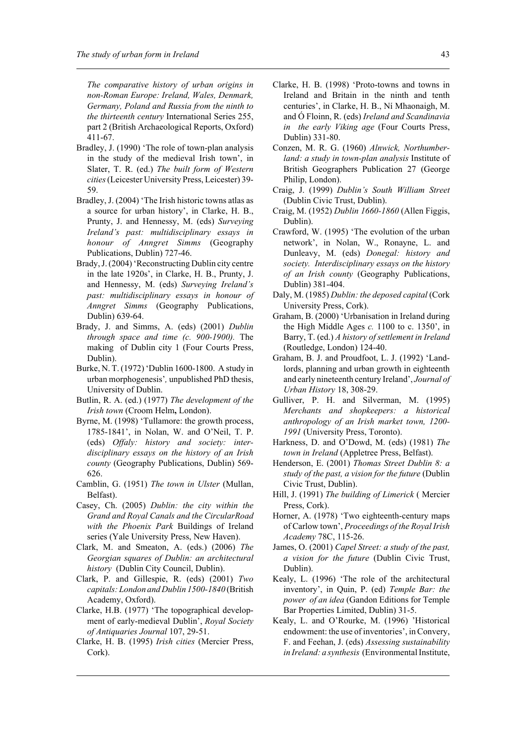*The comparative history of urban origins in non-Roman Europe: Ireland, Wales, Denmark, Germany, Poland and Russia from the ninth to the thirteenth century* International Series 255, part 2 (British Archaeological Reports, Oxford) 411-67.

- Bradley, J. (1990) 'The role of town-plan analysis in the study of the medieval Irish town', in Slater, T. R. (ed.) *The built form of Western cities* (Leicester University Press, Leicester) 39- 59.
- Bradley, J. (2004) 'The Irish historic towns atlas as a source for urban history', in Clarke, H. B., Prunty, J. and Hennessy, M. (eds) *Surveying Ireland's past: multidisciplinary essays in honour of Anngret Simms* (Geography Publications, Dublin) 727-46.
- Brady, J. (2004) 'Reconstructing Dublin city centre in the late 1920s', in Clarke, H. B., Prunty, J. and Hennessy, M. (eds) *Surveying Ireland's past: multidisciplinary essays in honour of Anngret Simms* (Geography Publications, Dublin) 639-64.
- Brady, J. and Simms, A. (eds) (2001) *Dublin through space and time (c. 900-1900).* The making of Dublin city 1 (Four Courts Press, Dublin).
- Burke, N. T. (1972) 'Dublin 1600-1800. A study in urban morphogenesis'*,* unpublished PhD thesis, University of Dublin.
- Butlin, R. A. (ed.) (1977) *The development of the Irish town* (Croom Helm**,** London).
- Byrne, M. (1998) 'Tullamore: the growth process, 1785-1841', in Nolan, W. and O'Neil, T. P. (eds) *Offaly: history and society: interdisciplinary essays on the history of an Irish county* (Geography Publications, Dublin) 569- 626.
- Camblin, G. (1951) *The town in Ulster* (Mullan, Belfast).
- Casey, Ch. (2005) *Dublin: the city within the Grand and Royal Canals and the CircularRoad with the Phoenix Park* Buildings of Ireland series (Yale University Press, New Haven).
- Clark, M. and Smeaton, A. (eds.) (2006) *The Georgian squares of Dublin: an architectural history* (Dublin City Council, Dublin).
- Clark, P. and Gillespie, R. (eds) (2001) *Two capitals: London and Dublin 1500-1840* (British Academy, Oxford).
- Clarke, H.B. (1977) 'The topographical development of early-medieval Dublin', *Royal Society of Antiquaries Journal* 107, 29-51.
- Clarke, H. B. (1995) *Irish cities* (Mercier Press, Cork).
- Clarke, H. B. (1998) 'Proto-towns and towns in Ireland and Britain in the ninth and tenth centuries', in Clarke, H. B., Ní Mhaonaigh, M. and Ó Floinn, R. (eds) *Ireland and Scandinavia in the early Viking age* (Four Courts Press, Dublin) 331-80.
- Conzen, M. R. G. (1960) *Alnwick, Northumberland: a study in town-plan analysis* Institute of British Geographers Publication 27 (George Philip, London).
- Craig, J. (1999) *Dublin's South William Street* (Dublin Civic Trust, Dublin).
- Craig, M. (1952) *Dublin 1660-1860* (Allen Figgis, Dublin).
- Crawford, W. (1995) 'The evolution of the urban network', in Nolan, W., Ronayne, L. and Dunleavy, M. (eds) *Donegal: history and society. Interdisciplinary essays on the history of an Irish county* (Geography Publications, Dublin) 381-404.
- Daly, M. (1985) *Dublin: the deposed capital* (Cork University Press, Cork).
- Graham, B. (2000) 'Urbanisation in Ireland during the High Middle Ages *c.* 1100 to c. 1350', in Barry, T. (ed.) *A history of settlement in Ireland* (Routledge, London) 124-40.
- Graham, B. J. and Proudfoot, L. J. (1992) 'Landlords, planning and urban growth in eighteenth and early nineteenth century Ireland', *Journal of Urban History* 18, 308-29.
- Gulliver, P. H. and Silverman, M. (1995) *Merchants and shopkeepers: a historical anthropology of an Irish market town, 1200- 1991* (University Press, Toronto).
- Harkness, D. and O'Dowd, M. (eds) (1981) *The town in Ireland* (Appletree Press, Belfast).
- Henderson, E. (2001) *Thomas Street Dublin 8: a study of the past, a vision for the future* (Dublin Civic Trust, Dublin).
- Hill, J. (1991) *The building of Limerick* ( Mercier Press, Cork).
- Horner, A. (1978) 'Two eighteenth-century maps of Carlow town', *Proceedings of the Royal Irish Academy* 78C, 115-26.
- James, O. (2001) *Capel Street: a study of the past, a vision for the future* (Dublin Civic Trust, Dublin).
- Kealy, L. (1996) 'The role of the architectural inventory', in Quin, P. (ed) *Temple Bar: the power of an idea* (Gandon Editions for Temple Bar Properties Limited, Dublin) 31-5.
- Kealy, L. and O'Rourke, M. (1996) 'Historical endowment: the use of inventories', in Convery, F. and Feehan, J. (eds) *Assessing sustainability in Ireland: a synthesis* (Environmental Institute,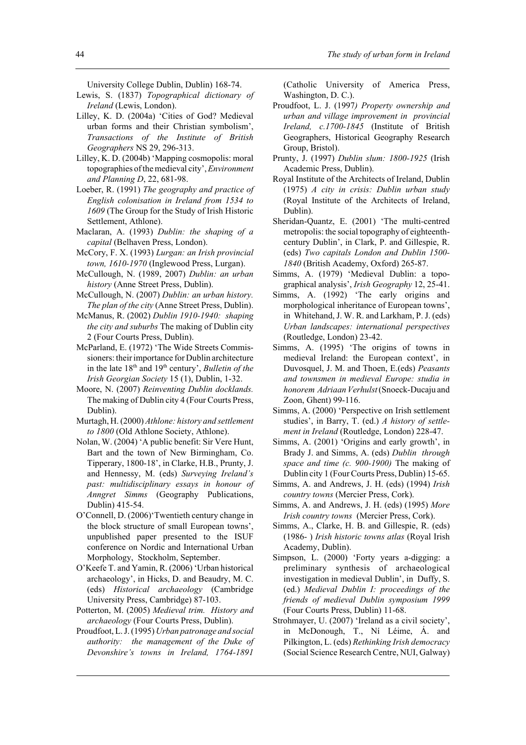University College Dublin, Dublin) 168-74.

- Lewis, S. (1837) *Topographical dictionary of Ireland* (Lewis, London).
- Lilley, K. D. (2004a) 'Cities of God? Medieval urban forms and their Christian symbolism', *Transactions of the Institute of British Geographers* NS 29, 296-313.
- Lilley, K. D. (2004b) 'Mapping cosmopolis: moral topographies of the medieval city', *Environment and Planning D*, 22, 681-98.
- Loeber, R. (1991) *The geography and practice of English colonisation in Ireland from 1534 to 1609* (The Group for the Study of Irish Historic Settlement, Athlone).
- Maclaran, A. (1993) *Dublin: the shaping of a capital* (Belhaven Press, London).
- McCory, F. X. (1993) *Lurgan: an Irish provincial town, 1610-1970* (Inglewood Press, Lurgan).
- McCullough, N. (1989, 2007) *Dublin: an urban history* (Anne Street Press, Dublin).
- McCullough, N. (2007) *Dublin: an urban history. The plan of the city* (Anne Street Press, Dublin).
- McManus, R. (2002) *Dublin 1910-1940: shaping the city and suburbs* The making of Dublin city 2 (Four Courts Press, Dublin).
- McParland, E. (1972) 'The Wide Streets Commissioners: their importance for Dublin architecture in the late 18<sup>th</sup> and 19<sup>th</sup> century', *Bulletin of the Irish Georgian Society* 15 (1), Dublin, 1-32.
- Moore, N. (2007) *Reinventing Dublin docklands.* The making of Dublin city 4 (Four Courts Press, Dublin).
- Murtagh, H. (2000) *Athlone: history and settlement to 1800* (Old Athlone Society, Athlone).
- Nolan, W. (2004) 'A public benefit: Sir Vere Hunt, Bart and the town of New Birmingham, Co. Tipperary, 1800-18', in Clarke, H.B., Prunty, J. and Hennessy, M. (eds) *Surveying Ireland's past: multidisciplinary essays in honour of Anngret Simms* (Geography Publications, Dublin) 415-54.
- O'Connell, D. (2006)'Twentieth century change in the block structure of small European towns', unpublished paper presented to the ISUF conference on Nordic and International Urban Morphology, Stockholm, September.
- O'Keefe T. and Yamin, R. (2006) 'Urban historical archaeology', in Hicks, D. and Beaudry, M. C. (eds) *Historical archaeology* (Cambridge University Press, Cambridge) 87-103.
- Potterton, M. (2005) *Medieval trim. History and archaeology* (Four Courts Press, Dublin).
- Proudfoot, L. J. (1995) *Urban patronage and social authority: the management of the Duke of Devonshire's towns in Ireland, 1764-1891*

(Catholic University of America Press, Washington, D. C.).

- Proudfoot, L. J. (1997*) Property ownership and urban and village improvement in provincial Ireland, c.1700-1845* (Institute of British Geographers, Historical Geography Research Group, Bristol).
- Prunty, J. (1997) *Dublin slum: 1800-1925* (Irish Academic Press, Dublin).
- Royal Institute of the Architects of Ireland, Dublin (1975) *A city in crisis: Dublin urban study* (Royal Institute of the Architects of Ireland, Dublin).
- Sheridan-Quantz, E. (2001) 'The multi-centred metropolis: the social topography of eighteenthcentury Dublin', in Clark, P. and Gillespie, R. (eds) *Two capitals London and Dublin 1500- 1840* (British Academy, Oxford) 265-87.
- Simms, A. (1979) 'Medieval Dublin: a topographical analysis', *Irish Geography* 12, 25-41.
- Simms, A. (1992) 'The early origins and morphological inheritance of European towns', in Whitehand, J. W. R. and Larkham, P. J. (eds) *Urban landscapes: international perspectives* (Routledge, London) 23-42.
- Simms, A. (1995) 'The origins of towns in medieval Ireland: the European context', in Duvosquel, J. M. and Thoen, E.(eds) *Peasants and townsmen in medieval Europe: studia in honorem Adriaan Verhulst* (Snoeck-Ducaju and Zoon, Ghent) 99-116.
- Simms, A. (2000) 'Perspective on Irish settlement studies', in Barry, T. (ed.) *A history of settlement in Ireland* (Routledge, London) 228-47.
- Simms, A. (2001) 'Origins and early growth', in Brady J. and Simms, A. (eds) *Dublin through space and time (c. 900-1900)* The making of Dublin city 1 (Four Courts Press, Dublin) 15-65.
- Simms, A. and Andrews, J. H. (eds) (1994) *Irish country towns* (Mercier Press, Cork).
- Simms, A. and Andrews, J. H. (eds) (1995) *More Irish country towns* (Mercier Press, Cork).
- Simms, A., Clarke, H. B. and Gillespie, R. (eds) (1986- ) *Irish historic towns atlas* (Royal Irish Academy, Dublin).
- Simpson, L. (2000) 'Forty years a-digging: a preliminary synthesis of archaeological investigation in medieval Dublin', in Duffy, S. (ed.) *Medieval Dublin I: proceedings of the friends of medieval Dublin symposium 1999* (Four Courts Press, Dublin) 11-68.
- Strohmayer, U. (2007) 'Ireland as a civil society', in McDonough, T., Ní Léime, Á. and Pilkington, L. (eds) *Rethinking Irish democracy* (Social Science Research Centre, NUI, Galway)